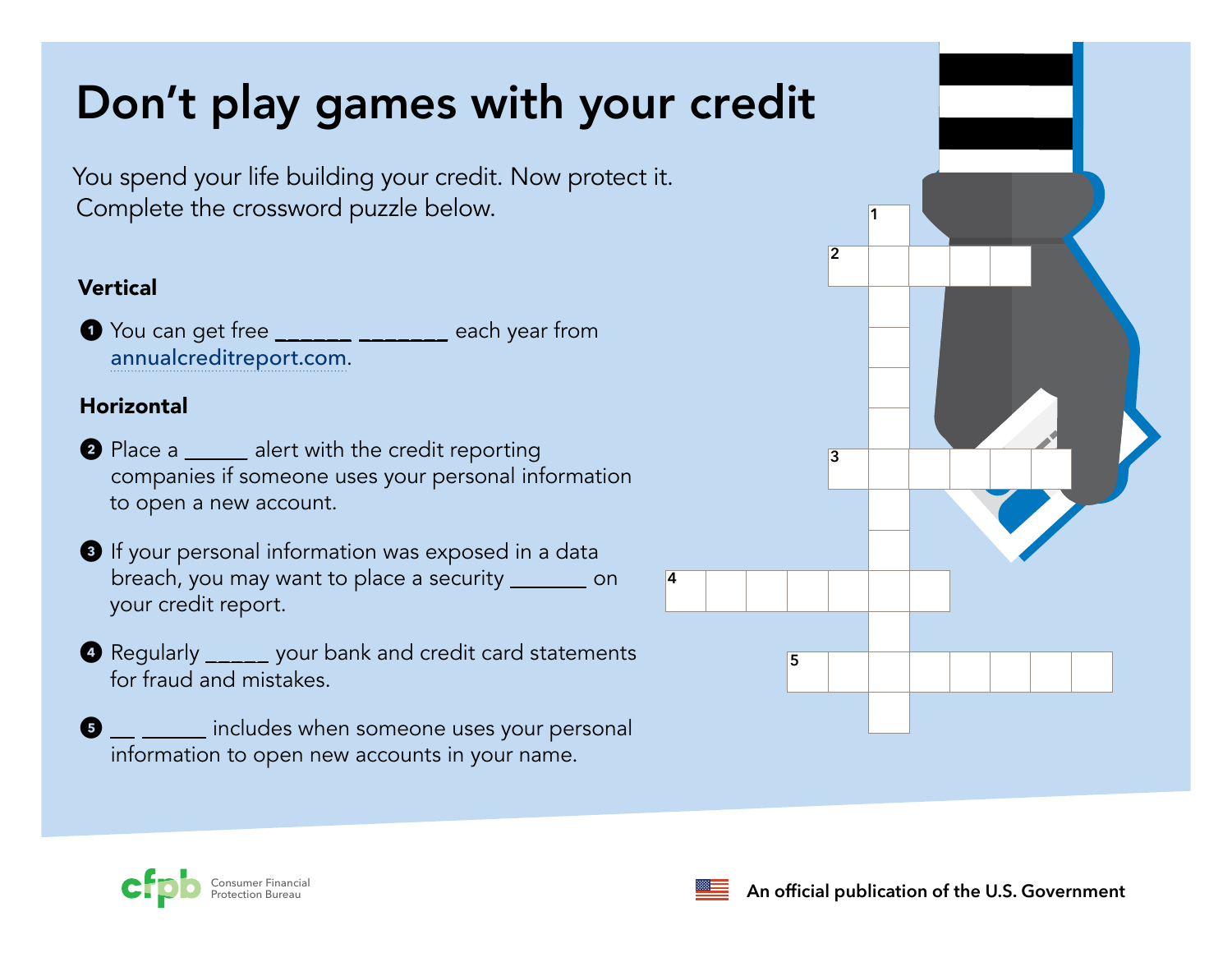# Don't play games with your credit

You spend your life building your credit. Now protect it. Complete the crossword puzzle below.

#### Vertical

1 You can get free \_\_\_\_\_\_\_ \_\_\_\_\_\_ each year from [annualcreditreport.com](http://annualcreditreport.com).

#### **Horizontal**

- 2 Place a \_\_\_\_\_\_ alert with the credit reporting companies if someone uses your personal information to open a new account.
- 3 If your personal information was exposed in a data breach, you may want to place a security \_\_\_\_\_\_ on your credit report.
- 4 Regularly \_\_\_\_\_ your bank and credit card statements for fraud and mistakes.
- $\bullet$  \_\_ \_\_\_\_\_\_ includes when someone uses your personal information to open new accounts in your name.







**4**